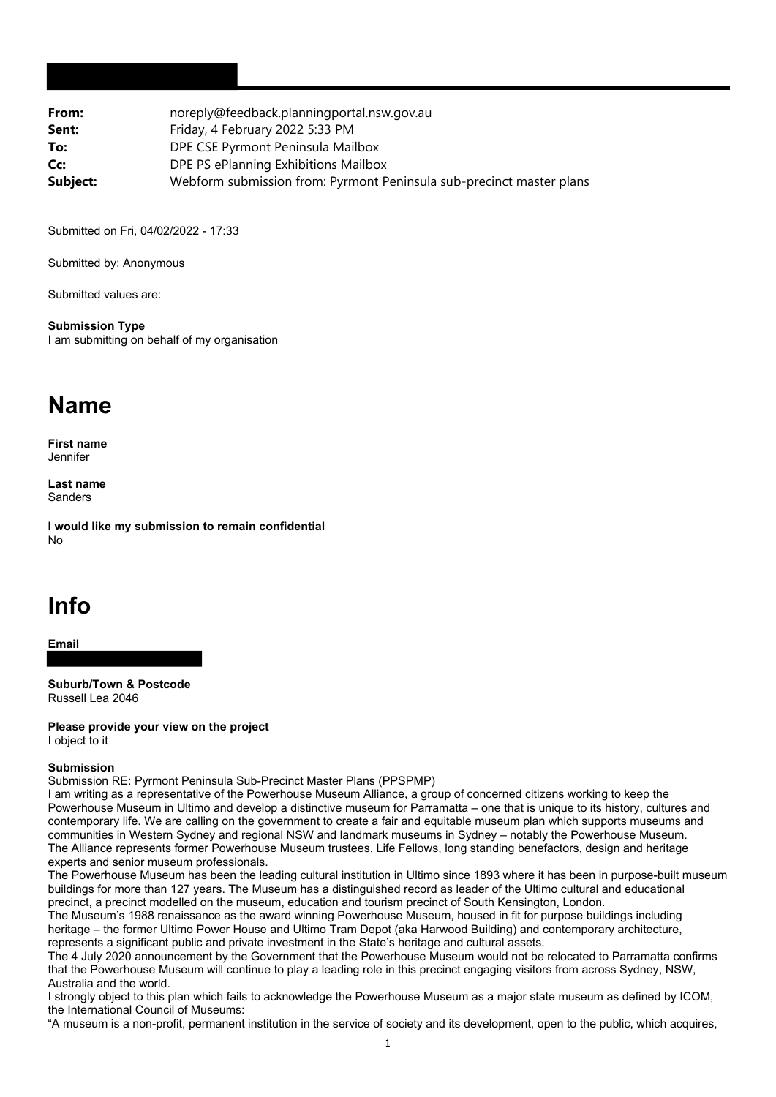| From:    | noreply@feedback.planningportal.nsw.gov.au                           |
|----------|----------------------------------------------------------------------|
| Sent:    | Friday, 4 February 2022 5:33 PM                                      |
| To:      | DPE CSE Pyrmont Peninsula Mailbox                                    |
| Cc:      | DPE PS ePlanning Exhibitions Mailbox                                 |
| Subject: | Webform submission from: Pyrmont Peninsula sub-precinct master plans |

Submitted on Fri, 04/02/2022 - 17:33

Submitted by: Anonymous

Submitted values are:

**Submission Type** I am submitting on behalf of my organisation

## **Name**

**First name Jennifer** 

**Last name** Sanders

**I would like my submission to remain confidential** No

## **Info**

**Email**

**Suburb/Town & Postcode** Russell Lea 2046

**Please provide your view on the project** I object to it

## **Submission**

Submission RE: Pyrmont Peninsula Sub-Precinct Master Plans (PPSPMP)

I am writing as a representative of the Powerhouse Museum Alliance, a group of concerned citizens working to keep the Powerhouse Museum in Ultimo and develop a distinctive museum for Parramatta – one that is unique to its history, cultures and contemporary life. We are calling on the government to create a fair and equitable museum plan which supports museums and communities in Western Sydney and regional NSW and landmark museums in Sydney – notably the Powerhouse Museum. The Alliance represents former Powerhouse Museum trustees, Life Fellows, long standing benefactors, design and heritage experts and senior museum professionals.

The Powerhouse Museum has been the leading cultural institution in Ultimo since 1893 where it has been in purpose-built museum buildings for more than 127 years. The Museum has a distinguished record as leader of the Ultimo cultural and educational precinct, a precinct modelled on the museum, education and tourism precinct of South Kensington, London.

The Museum's 1988 renaissance as the award winning Powerhouse Museum, housed in fit for purpose buildings including heritage – the former Ultimo Power House and Ultimo Tram Depot (aka Harwood Building) and contemporary architecture, represents a significant public and private investment in the State's heritage and cultural assets.

The 4 July 2020 announcement by the Government that the Powerhouse Museum would not be relocated to Parramatta confirms that the Powerhouse Museum will continue to play a leading role in this precinct engaging visitors from across Sydney, NSW, Australia and the world.

I strongly object to this plan which fails to acknowledge the Powerhouse Museum as a major state museum as defined by ICOM, the International Council of Museums:

"A museum is a non-profit, permanent institution in the service of society and its development, open to the public, which acquires,